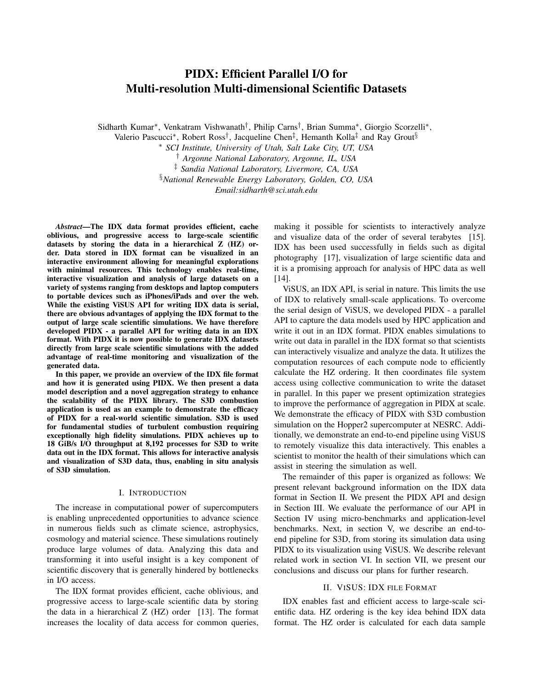# PIDX: Efficient Parallel I/O for Multi-resolution Multi-dimensional Scientific Datasets

Sidharth Kumar<sup>∗</sup>, Venkatram Vishwanath<sup>†</sup>, Philip Carns<sup>†</sup>, Brian Summa<sup>∗</sup>, Giorgio Scorzelli<sup>∗</sup>,

Valerio Pascucci\*, Robert Ross<sup>†</sup>, Jacqueline Chen<sup>‡</sup>, Hemanth Kolla<sup>‡</sup> and Ray Grout<sup>§</sup>

<sup>∗</sup> *SCI Institute, University of Utah, Salt Lake City, UT, USA*

† *Argonne National Laboratory, Argonne, IL, USA*

‡ *Sandia National Laboratory, Livermore, CA, USA*

§*National Renewable Energy Laboratory, Golden, CO, USA*

*Email:sidharth@sci.utah.edu*

*Abstract*—The IDX data format provides efficient, cache oblivious, and progressive access to large-scale scientific datasets by storing the data in a hierarchical Z (HZ) order. Data stored in IDX format can be visualized in an interactive environment allowing for meaningful explorations with minimal resources. This technology enables real-time, interactive visualization and analysis of large datasets on a variety of systems ranging from desktops and laptop computers to portable devices such as iPhones/iPads and over the web. While the existing ViSUS API for writing IDX data is serial, there are obvious advantages of applying the IDX format to the output of large scale scientific simulations. We have therefore developed PIDX - a parallel API for writing data in an IDX format. With PIDX it is now possible to generate IDX datasets directly from large scale scientific simulations with the added advantage of real-time monitoring and visualization of the generated data.

In this paper, we provide an overview of the IDX file format and how it is generated using PIDX. We then present a data model description and a novel aggregation strategy to enhance the scalability of the PIDX library. The S3D combustion application is used as an example to demonstrate the efficacy of PIDX for a real-world scientific simulation. S3D is used for fundamental studies of turbulent combustion requiring exceptionally high fidelity simulations. PIDX achieves up to 18 GiB/s I/O throughput at 8,192 processes for S3D to write data out in the IDX format. This allows for interactive analysis and visualization of S3D data, thus, enabling in situ analysis of S3D simulation.

### I. INTRODUCTION

The increase in computational power of supercomputers is enabling unprecedented opportunities to advance science in numerous fields such as climate science, astrophysics, cosmology and material science. These simulations routinely produce large volumes of data. Analyzing this data and transforming it into useful insight is a key component of scientific discovery that is generally hindered by bottlenecks in I/O access.

The IDX format provides efficient, cache oblivious, and progressive access to large-scale scientific data by storing the data in a hierarchical  $Z$  (HZ) order [13]. The format increases the locality of data access for common queries, making it possible for scientists to interactively analyze and visualize data of the order of several terabytes [15]. IDX has been used successfully in fields such as digital photography [17], visualization of large scientific data and it is a promising approach for analysis of HPC data as well [14].

ViSUS, an IDX API, is serial in nature. This limits the use of IDX to relatively small-scale applications. To overcome the serial design of ViSUS, we developed PIDX - a parallel API to capture the data models used by HPC application and write it out in an IDX format. PIDX enables simulations to write out data in parallel in the IDX format so that scientists can interactively visualize and analyze the data. It utilizes the computation resources of each compute node to efficiently calculate the HZ ordering. It then coordinates file system access using collective communication to write the dataset in parallel. In this paper we present optimization strategies to improve the performance of aggregation in PIDX at scale. We demonstrate the efficacy of PIDX with S3D combustion simulation on the Hopper2 supercomputer at NESRC. Additionally, we demonstrate an end-to-end pipeline using ViSUS to remotely visualize this data interactively. This enables a scientist to monitor the health of their simulations which can assist in steering the simulation as well.

The remainder of this paper is organized as follows: We present relevant background information on the IDX data format in Section II. We present the PIDX API and design in Section III. We evaluate the performance of our API in Section IV using micro-benchmarks and application-level benchmarks. Next, in section V, we describe an end-toend pipeline for S3D, from storing its simulation data using PIDX to its visualization using ViSUS. We describe relevant related work in section VI. In section VII, we present our conclusions and discuss our plans for further research.

### II. VISUS: IDX FILE FORMAT

IDX enables fast and efficient access to large-scale scientific data. HZ ordering is the key idea behind IDX data format. The HZ order is calculated for each data sample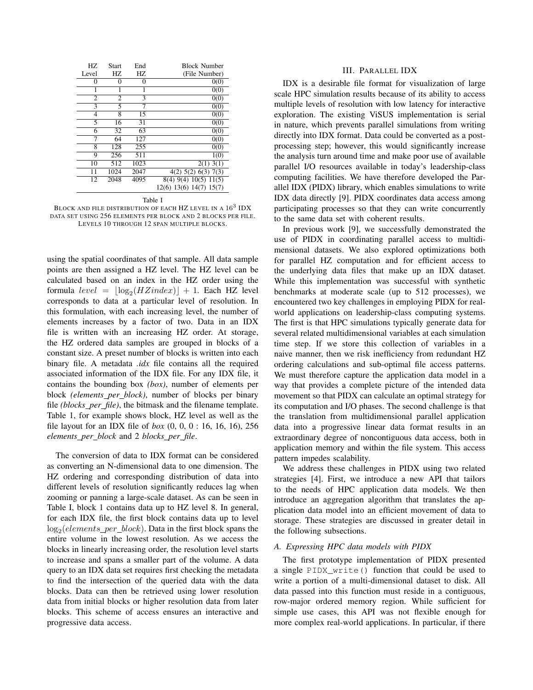| HZ.            | <b>Start</b> | End  | <b>Block Number</b>     |
|----------------|--------------|------|-------------------------|
| Level          | HZ.          | HZ   | (File Number)           |
| 0              | 0            | 0    | 0(0)                    |
| 1              | 1            | 1    | 0(0)                    |
| $\overline{c}$ | 2            | 3    | 0(0)                    |
| 3              | 5            |      | 0(0)                    |
| 4              | 8            | 15   | 0(0)                    |
| 5              | 16           | 31   | 0(0)                    |
| 6              | 32           | 63   | 0(0)                    |
| 7              | 64           | 127  | 0(0)                    |
| 8              | 128          | 255  | 0(0)                    |
| 9              | 256          | 511  | 1(0)                    |
| 10             | 512          | 1023 | $2(1)\overline{3(1)}$   |
| 11             | 1024         | 2047 | $4(2)$ 5(2) 6(3) 7(3)   |
| 12             | 2048         | 4095 | 8(4) 9(4) 10(5) 11(5)   |
|                |              |      | 12(6) 13(6) 14(7) 15(7) |

Table I

BLOCK AND FILE DISTRIBUTION OF EACH HZ LEVEL IN A  $16^3$  IDX  $\,$ DATA SET USING 256 ELEMENTS PER BLOCK AND 2 BLOCKS PER FILE. LEVELS 10 THROUGH 12 SPAN MULTIPLE BLOCKS.

using the spatial coordinates of that sample. All data sample points are then assigned a HZ level. The HZ level can be calculated based on an index in the HZ order using the formula  $level = \lfloor log_2(HZindex)\rfloor + 1$ . Each HZ level corresponds to data at a particular level of resolution. In this formulation, with each increasing level, the number of elements increases by a factor of two. Data in an IDX file is written with an increasing HZ order. At storage, the HZ ordered data samples are grouped in blocks of a constant size. A preset number of blocks is written into each binary file. A metadata *.idx* file contains all the required associated information of the IDX file. For any IDX file, it contains the bounding box *(box)*, number of elements per block *(elements per block)*, number of blocks per binary file *(blocks per file)*, the bitmask and the filename template. Table 1, for example shows block, HZ level as well as the file layout for an IDX file of *box* (0, 0, 0 : 16, 16, 16), 256 *elements per block* and 2 *blocks per file*.

The conversion of data to IDX format can be considered as converting an N-dimensional data to one dimension. The HZ ordering and corresponding distribution of data into different levels of resolution significantly reduces lag when zooming or panning a large-scale dataset. As can be seen in Table I, block 1 contains data up to HZ level 8. In general, for each IDX file, the first block contains data up to level  $log_2(elements\_per\_block)$ . Data in the first block spans the entire volume in the lowest resolution. As we access the blocks in linearly increasing order, the resolution level starts to increase and spans a smaller part of the volume. A data query to an IDX data set requires first checking the metadata to find the intersection of the queried data with the data blocks. Data can then be retrieved using lower resolution data from initial blocks or higher resolution data from later blocks. This scheme of access ensures an interactive and progressive data access.

## III. PARALLEL IDX

IDX is a desirable file format for visualization of large scale HPC simulation results because of its ability to access multiple levels of resolution with low latency for interactive exploration. The existing ViSUS implementation is serial in nature, which prevents parallel simulations from writing directly into IDX format. Data could be converted as a postprocessing step; however, this would significantly increase the analysis turn around time and make poor use of available parallel I/O resources available in today's leadership-class computing facilities. We have therefore developed the Parallel IDX (PIDX) library, which enables simulations to write IDX data directly [9]. PIDX coordinates data access among participating processes so that they can write concurrently to the same data set with coherent results.

In previous work [9], we successfully demonstrated the use of PIDX in coordinating parallel access to multidimensional datasets. We also explored optimizations both for parallel HZ computation and for efficient access to the underlying data files that make up an IDX dataset. While this implementation was successful with synthetic benchmarks at moderate scale (up to 512 processes), we encountered two key challenges in employing PIDX for realworld applications on leadership-class computing systems. The first is that HPC simulations typically generate data for several related multidimensional variables at each simulation time step. If we store this collection of variables in a naive manner, then we risk inefficiency from redundant HZ ordering calculations and sub-optimal file access patterns. We must therefore capture the application data model in a way that provides a complete picture of the intended data movement so that PIDX can calculate an optimal strategy for its computation and I/O phases. The second challenge is that the translation from multidimensional parallel application data into a progressive linear data format results in an extraordinary degree of noncontiguous data access, both in application memory and within the file system. This access pattern impedes scalability.

We address these challenges in PIDX using two related strategies [4]. First, we introduce a new API that tailors to the needs of HPC application data models. We then introduce an aggregation algorithm that translates the application data model into an efficient movement of data to storage. These strategies are discussed in greater detail in the following subsections.

## *A. Expressing HPC data models with PIDX*

The first prototype implementation of PIDX presented a single PIDX\_write() function that could be used to write a portion of a multi-dimensional dataset to disk. All data passed into this function must reside in a contiguous, row-major ordered memory region. While sufficient for simple use cases, this API was not flexible enough for more complex real-world applications. In particular, if there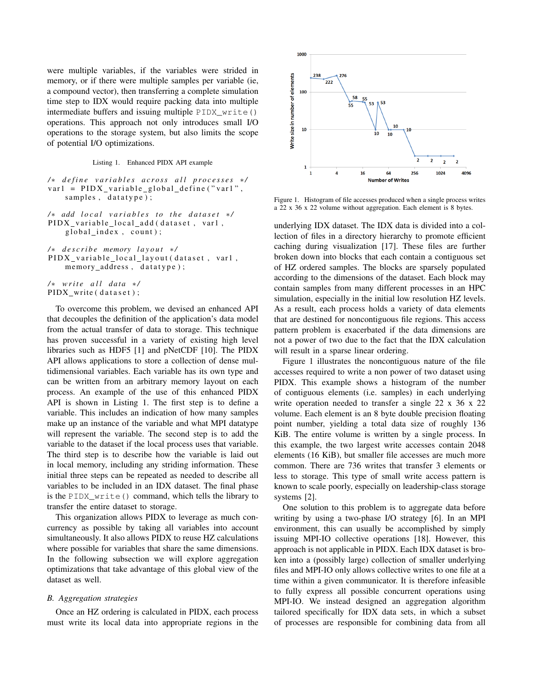were multiple variables, if the variables were strided in memory, or if there were multiple samples per variable (ie, a compound vector), then transferring a complete simulation time step to IDX would require packing data into multiple intermediate buffers and issuing multiple PIDX\_write() operations. This approach not only introduces small I/O operations to the storage system, but also limits the scope of potential I/O optimizations.

Listing 1. Enhanced PIDX API example

```
/ ∗ d e f i n e v a r i a b l e s a c r o s s a l l p r o c e s s e s ∗ /
var1 = PIDX_variable_global_define("var1"samples, datatype);
```
- */* ∗ *add local variables to the dataset \*/* PIDX\_variable\_local\_add(dataset, var1,  $global_index, count);$
- */* ∗ *d e s c r i b e memory l a y o u t* ∗ */* PIDX\_variable\_local\_layout (dataset, var1, memory\_address, datatype);

*/* ∗ *w r i t e a l l d at a* ∗ */* PIDX\_write (dataset);

To overcome this problem, we devised an enhanced API that decouples the definition of the application's data model from the actual transfer of data to storage. This technique has proven successful in a variety of existing high level libraries such as HDF5 [1] and pNetCDF [10]. The PIDX API allows applications to store a collection of dense multidimensional variables. Each variable has its own type and can be written from an arbitrary memory layout on each process. An example of the use of this enhanced PIDX API is shown in Listing 1. The first step is to define a variable. This includes an indication of how many samples make up an instance of the variable and what MPI datatype will represent the variable. The second step is to add the variable to the dataset if the local process uses that variable. The third step is to describe how the variable is laid out in local memory, including any striding information. These initial three steps can be repeated as needed to describe all variables to be included in an IDX dataset. The final phase is the PIDX\_write() command, which tells the library to transfer the entire dataset to storage.

This organization allows PIDX to leverage as much concurrency as possible by taking all variables into account simultaneously. It also allows PIDX to reuse HZ calculations where possible for variables that share the same dimensions. In the following subsection we will explore aggregation optimizations that take advantage of this global view of the dataset as well.

## *B. Aggregation strategies*

Once an HZ ordering is calculated in PIDX, each process must write its local data into appropriate regions in the



Figure 1. Histogram of file accesses produced when a single process writes a 22 x 36 x 22 volume without aggregation. Each element is 8 bytes.

underlying IDX dataset. The IDX data is divided into a collection of files in a directory hierarchy to promote efficient caching during visualization [17]. These files are further broken down into blocks that each contain a contiguous set of HZ ordered samples. The blocks are sparsely populated according to the dimensions of the dataset. Each block may contain samples from many different processes in an HPC simulation, especially in the initial low resolution HZ levels. As a result, each process holds a variety of data elements that are destined for noncontiguous file regions. This access pattern problem is exacerbated if the data dimensions are not a power of two due to the fact that the IDX calculation will result in a sparse linear ordering.

Figure 1 illustrates the noncontiguous nature of the file accesses required to write a non power of two dataset using PIDX. This example shows a histogram of the number of contiguous elements (i.e. samples) in each underlying write operation needed to transfer a single 22 x 36 x 22 volume. Each element is an 8 byte double precision floating point number, yielding a total data size of roughly 136 KiB. The entire volume is written by a single process. In this example, the two largest write accesses contain 2048 elements (16 KiB), but smaller file accesses are much more common. There are 736 writes that transfer 3 elements or less to storage. This type of small write access pattern is known to scale poorly, especially on leadership-class storage systems [2].

One solution to this problem is to aggregate data before writing by using a two-phase I/O strategy [6]. In an MPI environment, this can usually be accomplished by simply issuing MPI-IO collective operations [18]. However, this approach is not applicable in PIDX. Each IDX dataset is broken into a (possibly large) collection of smaller underlying files and MPI-IO only allows collective writes to one file at a time within a given communicator. It is therefore infeasible to fully express all possible concurrent operations using MPI-IO. We instead designed an aggregation algorithm tailored specifically for IDX data sets, in which a subset of processes are responsible for combining data from all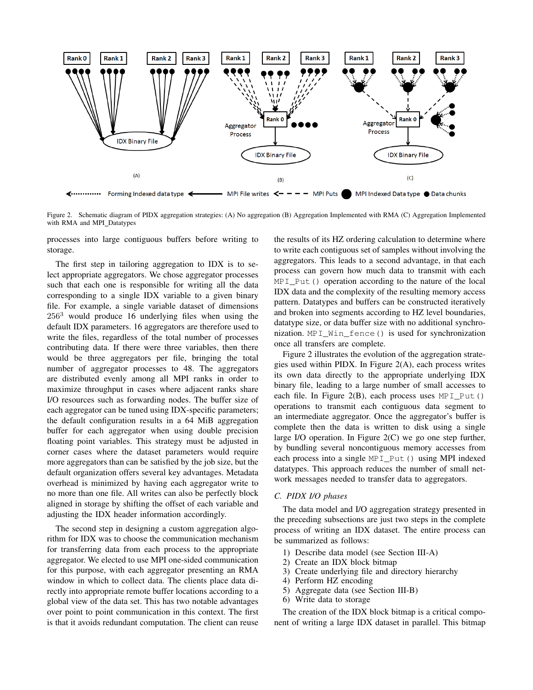

Figure 2. Schematic diagram of PIDX aggregation strategies: (A) No aggregation (B) Aggregation Implemented with RMA (C) Aggregation Implemented with RMA and MPI\_Datatypes

processes into large contiguous buffers before writing to storage.

The first step in tailoring aggregation to IDX is to select appropriate aggregators. We chose aggregator processes such that each one is responsible for writing all the data corresponding to a single IDX variable to a given binary file. For example, a single variable dataset of dimensions  $256<sup>3</sup>$  would produce 16 underlying files when using the default IDX parameters. 16 aggregators are therefore used to write the files, regardless of the total number of processes contributing data. If there were three variables, then there would be three aggregators per file, bringing the total number of aggregator processes to 48. The aggregators are distributed evenly among all MPI ranks in order to maximize throughput in cases where adjacent ranks share I/O resources such as forwarding nodes. The buffer size of each aggregator can be tuned using IDX-specific parameters; the default configuration results in a 64 MiB aggregation buffer for each aggregator when using double precision floating point variables. This strategy must be adjusted in corner cases where the dataset parameters would require more aggregators than can be satisfied by the job size, but the default organization offers several key advantages. Metadata overhead is minimized by having each aggregator write to no more than one file. All writes can also be perfectly block aligned in storage by shifting the offset of each variable and adjusting the IDX header information accordingly.

The second step in designing a custom aggregation algorithm for IDX was to choose the communication mechanism for transferring data from each process to the appropriate aggregator. We elected to use MPI one-sided communication for this purpose, with each aggregator presenting an RMA window in which to collect data. The clients place data directly into appropriate remote buffer locations according to a global view of the data set. This has two notable advantages over point to point communication in this context. The first is that it avoids redundant computation. The client can reuse the results of its HZ ordering calculation to determine where to write each contiguous set of samples without involving the aggregators. This leads to a second advantage, in that each process can govern how much data to transmit with each MPI\_Put() operation according to the nature of the local IDX data and the complexity of the resulting memory access pattern. Datatypes and buffers can be constructed iteratively and broken into segments according to HZ level boundaries, datatype size, or data buffer size with no additional synchronization. MPI\_Win\_fence() is used for synchronization once all transfers are complete.

Figure 2 illustrates the evolution of the aggregation strategies used within PIDX. In Figure 2(A), each process writes its own data directly to the appropriate underlying IDX binary file, leading to a large number of small accesses to each file. In Figure 2(B), each process uses  $MPI_Put()$ operations to transmit each contiguous data segment to an intermediate aggregator. Once the aggregator's buffer is complete then the data is written to disk using a single large I/O operation. In Figure 2(C) we go one step further, by bundling several noncontiguous memory accesses from each process into a single MPI\_Put() using MPI indexed datatypes. This approach reduces the number of small network messages needed to transfer data to aggregators.

## *C. PIDX I/O phases*

The data model and I/O aggregation strategy presented in the preceding subsections are just two steps in the complete process of writing an IDX dataset. The entire process can be summarized as follows:

- 1) Describe data model (see Section III-A)
- 2) Create an IDX block bitmap
- 3) Create underlying file and directory hierarchy
- 4) Perform HZ encoding
- 5) Aggregate data (see Section III-B)
- 6) Write data to storage

The creation of the IDX block bitmap is a critical component of writing a large IDX dataset in parallel. This bitmap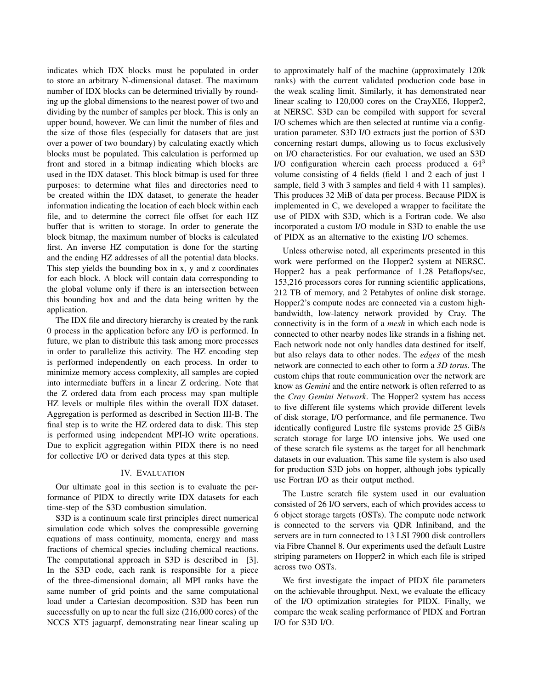indicates which IDX blocks must be populated in order to store an arbitrary N-dimensional dataset. The maximum number of IDX blocks can be determined trivially by rounding up the global dimensions to the nearest power of two and dividing by the number of samples per block. This is only an upper bound, however. We can limit the number of files and the size of those files (especially for datasets that are just over a power of two boundary) by calculating exactly which blocks must be populated. This calculation is performed up front and stored in a bitmap indicating which blocks are used in the IDX dataset. This block bitmap is used for three purposes: to determine what files and directories need to be created within the IDX dataset, to generate the header information indicating the location of each block within each file, and to determine the correct file offset for each HZ buffer that is written to storage. In order to generate the block bitmap, the maximum number of blocks is calculated first. An inverse HZ computation is done for the starting and the ending HZ addresses of all the potential data blocks. This step yields the bounding box in x, y and z coordinates for each block. A block will contain data corresponding to the global volume only if there is an intersection between this bounding box and and the data being written by the application.

The IDX file and directory hierarchy is created by the rank 0 process in the application before any I/O is performed. In future, we plan to distribute this task among more processes in order to parallelize this activity. The HZ encoding step is performed independently on each process. In order to minimize memory access complexity, all samples are copied into intermediate buffers in a linear Z ordering. Note that the Z ordered data from each process may span multiple HZ levels or multiple files within the overall IDX dataset. Aggregation is performed as described in Section III-B. The final step is to write the HZ ordered data to disk. This step is performed using independent MPI-IO write operations. Due to explicit aggregation within PIDX there is no need for collective I/O or derived data types at this step.

## IV. EVALUATION

Our ultimate goal in this section is to evaluate the performance of PIDX to directly write IDX datasets for each time-step of the S3D combustion simulation.

S3D is a continuum scale first principles direct numerical simulation code which solves the compressible governing equations of mass continuity, momenta, energy and mass fractions of chemical species including chemical reactions. The computational approach in S3D is described in [3]. In the S3D code, each rank is responsible for a piece of the three-dimensional domain; all MPI ranks have the same number of grid points and the same computational load under a Cartesian decomposition. S3D has been run successfully on up to near the full size (216,000 cores) of the NCCS XT5 jaguarpf, demonstrating near linear scaling up to approximately half of the machine (approximately 120k ranks) with the current validated production code base in the weak scaling limit. Similarly, it has demonstrated near linear scaling to 120,000 cores on the CrayXE6, Hopper2, at NERSC. S3D can be compiled with support for several I/O schemes which are then selected at runtime via a configuration parameter. S3D I/O extracts just the portion of S3D concerning restart dumps, allowing us to focus exclusively on I/O characteristics. For our evaluation, we used an S3D I/O configuration wherein each process produced a  $64<sup>3</sup>$ volume consisting of 4 fields (field 1 and 2 each of just 1 sample, field 3 with 3 samples and field 4 with 11 samples). This produces 32 MiB of data per process. Because PIDX is implemented in C, we developed a wrapper to facilitate the use of PIDX with S3D, which is a Fortran code. We also incorporated a custom I/O module in S3D to enable the use of PIDX as an alternative to the existing I/O schemes.

Unless otherwise noted, all experiments presented in this work were performed on the Hopper2 system at NERSC. Hopper2 has a peak performance of 1.28 Petaflops/sec, 153,216 processors cores for running scientific applications, 212 TB of memory, and 2 Petabytes of online disk storage. Hopper2's compute nodes are connected via a custom highbandwidth, low-latency network provided by Cray. The connectivity is in the form of a *mesh* in which each node is connected to other nearby nodes like strands in a fishing net. Each network node not only handles data destined for itself, but also relays data to other nodes. The *edges* of the mesh network are connected to each other to form a *3D torus*. The custom chips that route communication over the network are know as *Gemini* and the entire network is often referred to as the *Cray Gemini Network*. The Hopper2 system has access to five different file systems which provide different levels of disk storage, I/O performance, and file permanence. Two identically configured Lustre file systems provide 25 GiB/s scratch storage for large I/O intensive jobs. We used one of these scratch file systems as the target for all benchmark datasets in our evaluation. This same file system is also used for production S3D jobs on hopper, although jobs typically use Fortran I/O as their output method.

The Lustre scratch file system used in our evaluation consisted of 26 I/O servers, each of which provides access to 6 object storage targets (OSTs). The compute node network is connected to the servers via QDR Infiniband, and the servers are in turn connected to 13 LSI 7900 disk controllers via Fibre Channel 8. Our experiments used the default Lustre striping parameters on Hopper2 in which each file is striped across two OSTs.

We first investigate the impact of PIDX file parameters on the achievable throughput. Next, we evaluate the efficacy of the I/O optimization strategies for PIDX. Finally, we compare the weak scaling performance of PIDX and Fortran I/O for S3D I/O.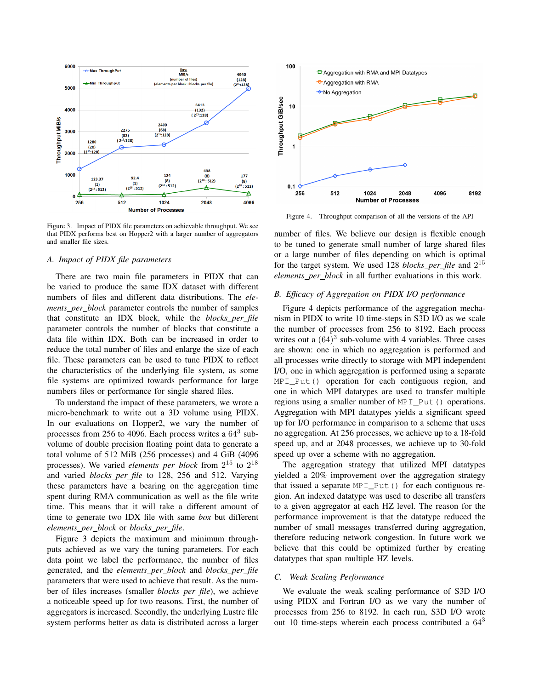

Figure 3. Impact of PIDX file parameters on achievable throughput. We see that PIDX performs best on Hopper2 with a larger number of aggregators and smaller file sizes.

#### *A. Impact of PIDX file parameters*

There are two main file parameters in PIDX that can be varied to produce the same IDX dataset with different numbers of files and different data distributions. The *elements per block* parameter controls the number of samples that constitute an IDX block, while the *blocks per file* parameter controls the number of blocks that constitute a data file within IDX. Both can be increased in order to reduce the total number of files and enlarge the size of each file. These parameters can be used to tune PIDX to reflect the characteristics of the underlying file system, as some file systems are optimized towards performance for large numbers files or performance for single shared files.

To understand the impact of these parameters, we wrote a micro-benchmark to write out a 3D volume using PIDX. In our evaluations on Hopper2, we vary the number of processes from 256 to 4096. Each process writes a  $64<sup>3</sup>$  subvolume of double precision floating point data to generate a total volume of 512 MiB (256 processes) and 4 GiB (4096 processes). We varied *elements per block* from 2 <sup>15</sup> to 2 18 and varied *blocks per file* to 128, 256 and 512. Varying these parameters have a bearing on the aggregation time spent during RMA communication as well as the file write time. This means that it will take a different amount of time to generate two IDX file with same *box* but different *elements per block* or *blocks per file*.

Figure 3 depicts the maximum and minimum throughputs achieved as we vary the tuning parameters. For each data point we label the performance, the number of files generated, and the *elements per block* and *blocks per file* parameters that were used to achieve that result. As the number of files increases (smaller *blocks per file*), we achieve a noticeable speed up for two reasons. First, the number of aggregators is increased. Secondly, the underlying Lustre file system performs better as data is distributed across a larger



Figure 4. Throughput comparison of all the versions of the API

number of files. We believe our design is flexible enough to be tuned to generate small number of large shared files or a large number of files depending on which is optimal for the target system. We used 128 *blocks per file* and 2 15 *elements per block* in all further evaluations in this work.

#### *B. Efficacy of Aggregation on PIDX I/O performance*

Figure 4 depicts performance of the aggregation mechanism in PIDX to write 10 time-steps in S3D I/O as we scale the number of processes from 256 to 8192. Each process writes out a  $(64)^3$  sub-volume with 4 variables. Three cases are shown: one in which no aggregation is performed and all processes write directly to storage with MPI independent I/O, one in which aggregation is performed using a separate MPI\_Put() operation for each contiguous region, and one in which MPI datatypes are used to transfer multiple regions using a smaller number of MPI\_Put() operations. Aggregation with MPI datatypes yields a significant speed up for I/O performance in comparison to a scheme that uses no aggregation. At 256 processes, we achieve up to a 18-fold speed up, and at 2048 processes, we achieve up to 30-fold speed up over a scheme with no aggregation.

The aggregation strategy that utilized MPI datatypes yielded a 20% improvement over the aggregation strategy that issued a separate MPI Put () for each contiguous region. An indexed datatype was used to describe all transfers to a given aggregator at each HZ level. The reason for the performance improvement is that the datatype reduced the number of small messages transferred during aggregation, therefore reducing network congestion. In future work we believe that this could be optimized further by creating datatypes that span multiple HZ levels.

#### *C. Weak Scaling Performance*

We evaluate the weak scaling performance of S3D I/O using PIDX and Fortran I/O as we vary the number of processes from 256 to 8192. In each run, S3D I/O wrote out 10 time-steps wherein each process contributed a  $64<sup>3</sup>$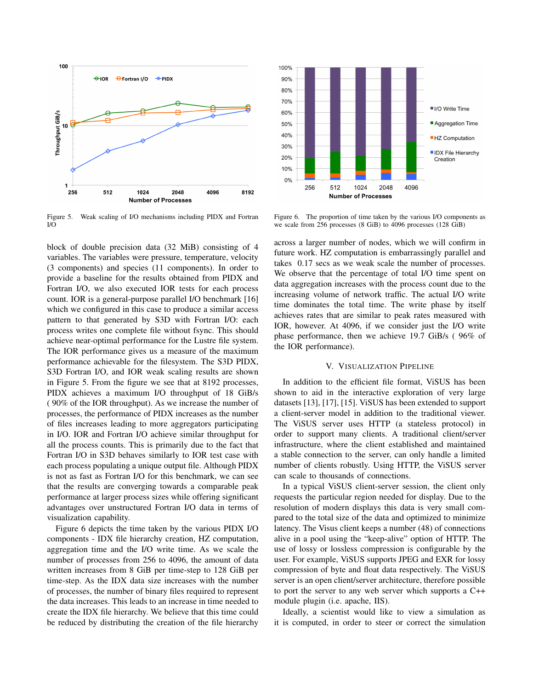

Figure 5. Weak scaling of I/O mechanisms including PIDX and Fortran I/O

block of double precision data (32 MiB) consisting of 4 variables. The variables were pressure, temperature, velocity (3 components) and species (11 components). In order to provide a baseline for the results obtained from PIDX and Fortran I/O, we also executed IOR tests for each process count. IOR is a general-purpose parallel I/O benchmark [16] which we configured in this case to produce a similar access pattern to that generated by S3D with Fortran I/O: each process writes one complete file without fsync. This should achieve near-optimal performance for the Lustre file system. The IOR performance gives us a measure of the maximum performance achievable for the filesystem. The S3D PIDX, S3D Fortran I/O, and IOR weak scaling results are shown in Figure 5. From the figure we see that at 8192 processes, PIDX achieves a maximum I/O throughput of 18 GiB/s ( 90% of the IOR throughput). As we increase the number of processes, the performance of PIDX increases as the number of files increases leading to more aggregators participating in I/O. IOR and Fortran I/O achieve similar throughput for all the process counts. This is primarily due to the fact that Fortran I/O in S3D behaves similarly to IOR test case with each process populating a unique output file. Although PIDX is not as fast as Fortran I/O for this benchmark, we can see that the results are converging towards a comparable peak performance at larger process sizes while offering significant advantages over unstructured Fortran I/O data in terms of visualization capability.

Figure 6 depicts the time taken by the various PIDX I/O components - IDX file hierarchy creation, HZ computation, aggregation time and the I/O write time. As we scale the number of processes from 256 to 4096, the amount of data written increases from 8 GiB per time-step to 128 GiB per time-step. As the IDX data size increases with the number of processes, the number of binary files required to represent the data increases. This leads to an increase in time needed to create the IDX file hierarchy. We believe that this time could be reduced by distributing the creation of the file hierarchy



Figure 6. The proportion of time taken by the various I/O components as we scale from 256 processes (8 GiB) to 4096 processes (128 GiB)

across a larger number of nodes, which we will confirm in future work. HZ computation is embarrassingly parallel and takes 0.17 secs as we weak scale the number of processes. We observe that the percentage of total I/O time spent on data aggregation increases with the process count due to the increasing volume of network traffic. The actual I/O write time dominates the total time. The write phase by itself achieves rates that are similar to peak rates measured with IOR, however. At 4096, if we consider just the I/O write phase performance, then we achieve 19.7 GiB/s ( 96% of the IOR performance).

#### V. VISUALIZATION PIPELINE

In addition to the efficient file format, ViSUS has been shown to aid in the interactive exploration of very large datasets [13], [17], [15]. ViSUS has been extended to support a client-server model in addition to the traditional viewer. The ViSUS server uses HTTP (a stateless protocol) in order to support many clients. A traditional client/server infrastructure, where the client established and maintained a stable connection to the server, can only handle a limited number of clients robustly. Using HTTP, the ViSUS server can scale to thousands of connections.

In a typical ViSUS client-server session, the client only requests the particular region needed for display. Due to the resolution of modern displays this data is very small compared to the total size of the data and optimized to minimize latency. The Visus client keeps a number (48) of connections alive in a pool using the "keep-alive" option of HTTP. The use of lossy or lossless compression is configurable by the user. For example, ViSUS supports JPEG and EXR for lossy compression of byte and float data respectively. The ViSUS server is an open client/server architecture, therefore possible to port the server to any web server which supports a C++ module plugin (i.e. apache, IIS).

Ideally, a scientist would like to view a simulation as it is computed, in order to steer or correct the simulation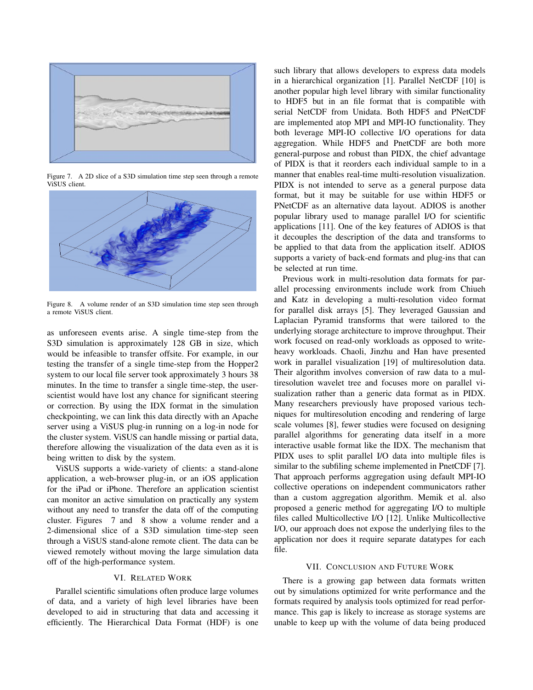

Figure 7. A 2D slice of a S3D simulation time step seen through a remote ViSUS client.



Figure 8. A volume render of an S3D simulation time step seen through a remote ViSUS client.

as unforeseen events arise. A single time-step from the S3D simulation is approximately 128 GB in size, which would be infeasible to transfer offsite. For example, in our testing the transfer of a single time-step from the Hopper2 system to our local file server took approximately 3 hours 38 minutes. In the time to transfer a single time-step, the userscientist would have lost any chance for significant steering or correction. By using the IDX format in the simulation checkpointing, we can link this data directly with an Apache server using a ViSUS plug-in running on a log-in node for the cluster system. ViSUS can handle missing or partial data, therefore allowing the visualization of the data even as it is being written to disk by the system.

ViSUS supports a wide-variety of clients: a stand-alone application, a web-browser plug-in, or an iOS application for the iPad or iPhone. Therefore an application scientist can monitor an active simulation on practically any system without any need to transfer the data off of the computing cluster. Figures 7 and 8 show a volume render and a 2-dimensional slice of a S3D simulation time-step seen through a ViSUS stand-alone remote client. The data can be viewed remotely without moving the large simulation data off of the high-performance system.

### VI. RELATED WORK

Parallel scientific simulations often produce large volumes of data, and a variety of high level libraries have been developed to aid in structuring that data and accessing it efficiently. The Hierarchical Data Format (HDF) is one such library that allows developers to express data models in a hierarchical organization [1]. Parallel NetCDF [10] is another popular high level library with similar functionality to HDF5 but in an file format that is compatible with serial NetCDF from Unidata. Both HDF5 and PNetCDF are implemented atop MPI and MPI-IO functionality. They both leverage MPI-IO collective I/O operations for data aggregation. While HDF5 and PnetCDF are both more general-purpose and robust than PIDX, the chief advantage of PIDX is that it reorders each individual sample to in a manner that enables real-time multi-resolution visualization. PIDX is not intended to serve as a general purpose data format, but it may be suitable for use within HDF5 or PNetCDF as an alternative data layout. ADIOS is another popular library used to manage parallel I/O for scientific applications [11]. One of the key features of ADIOS is that it decouples the description of the data and transforms to be applied to that data from the application itself. ADIOS supports a variety of back-end formats and plug-ins that can be selected at run time.

Previous work in multi-resolution data formats for parallel processing environments include work from Chiueh and Katz in developing a multi-resolution video format for parallel disk arrays [5]. They leveraged Gaussian and Laplacian Pyramid transforms that were tailored to the underlying storage architecture to improve throughput. Their work focused on read-only workloads as opposed to writeheavy workloads. Chaoli, Jinzhu and Han have presented work in parallel visualization [19] of multiresolution data. Their algorithm involves conversion of raw data to a multiresolution wavelet tree and focuses more on parallel visualization rather than a generic data format as in PIDX. Many researchers previously have proposed various techniques for multiresolution encoding and rendering of large scale volumes [8], fewer studies were focused on designing parallel algorithms for generating data itself in a more interactive usable format like the IDX. The mechanism that PIDX uses to split parallel I/O data into multiple files is similar to the subfiling scheme implemented in PnetCDF [7]. That approach performs aggregation using default MPI-IO collective operations on independent communicators rather than a custom aggregation algorithm. Memik et al. also proposed a generic method for aggregating I/O to multiple files called Multicollective I/O [12]. Unlike Multicollective I/O, our approach does not expose the underlying files to the application nor does it require separate datatypes for each file.

## VII. CONCLUSION AND FUTURE WORK

There is a growing gap between data formats written out by simulations optimized for write performance and the formats required by analysis tools optimized for read performance. This gap is likely to increase as storage systems are unable to keep up with the volume of data being produced